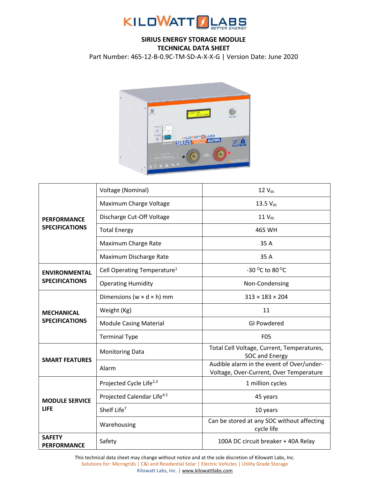

## **SIRIUS ENERGY STORAGE MODULE TECHNICAL DATA SHEET**

Part Number: 465-12-B-0.9C-TM-SD-A-X-X-G | Version Date: June 2020



| <b>PERFORMANCE</b><br><b>SPECIFICATIONS</b>   | Voltage (Nominal)                       | $12$ $V_{dc}$                                                                        |  |
|-----------------------------------------------|-----------------------------------------|--------------------------------------------------------------------------------------|--|
|                                               | Maximum Charge Voltage                  | $13.5 V_{dc}$                                                                        |  |
|                                               | Discharge Cut-Off Voltage               | $11V_{dc}$                                                                           |  |
|                                               | <b>Total Energy</b>                     | 465 WH                                                                               |  |
|                                               | Maximum Charge Rate                     | 35 A                                                                                 |  |
|                                               | Maximum Discharge Rate                  | 35 A                                                                                 |  |
| <b>ENVIRONMENTAL</b><br><b>SPECIFICATIONS</b> | Cell Operating Temperature <sup>1</sup> | -30 °C to 80 °C                                                                      |  |
|                                               | <b>Operating Humidity</b>               | Non-Condensing                                                                       |  |
| <b>MECHANICAL</b><br><b>SPECIFICATIONS</b>    | Dimensions ( $w \times d \times h$ ) mm | $313 \times 183 \times 204$                                                          |  |
|                                               | Weight (Kg)                             | 11                                                                                   |  |
|                                               | <b>Module Casing Material</b>           | <b>GI Powdered</b>                                                                   |  |
|                                               | <b>Terminal Type</b>                    | <b>F05</b>                                                                           |  |
| <b>SMART FEATURES</b>                         | <b>Monitoring Data</b>                  | Total Cell Voltage, Current, Temperatures,<br><b>SOC and Energy</b>                  |  |
|                                               | Alarm                                   | Audible alarm in the event of Over/under-<br>Voltage, Over-Current, Over Temperature |  |
| <b>MODULE SERVICE</b><br><b>LIFE</b>          | Projected Cycle Life <sup>2,3</sup>     | 1 million cycles                                                                     |  |
|                                               | Projected Calendar Life <sup>4,5</sup>  | 45 years                                                                             |  |
|                                               | Shelf Life <sup>7</sup>                 | 10 years                                                                             |  |
|                                               | Warehousing                             | Can be stored at any SOC without affecting<br>cycle life                             |  |
| <b>SAFETY</b><br><b>PERFORMANCE</b>           | Safety                                  | 100A DC circuit breaker + 40A Relay                                                  |  |

This technical data sheet may change without notice and at the sole discretion of Kilowatt Labs, Inc. Solutions for: Microgrids | C&I and Residential Solar | Electric Vehicles | Utility Grade Storage Kilowatt Labs, Inc. [| www.kilowattlabs.com](http://www.kilowattlabs.com/)